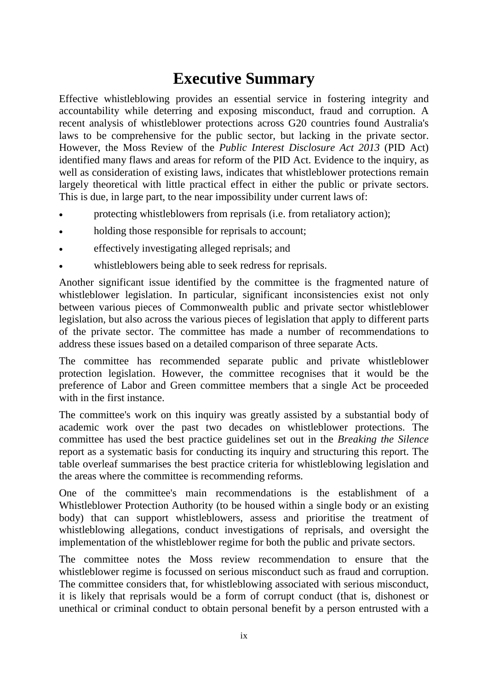## **Executive Summary**

Effective whistleblowing provides an essential service in fostering integrity and accountability while deterring and exposing misconduct, fraud and corruption. A recent analysis of whistleblower protections across G20 countries found Australia's laws to be comprehensive for the public sector, but lacking in the private sector. However, the Moss Review of the *Public Interest Disclosure Act 2013* (PID Act) identified many flaws and areas for reform of the PID Act. Evidence to the inquiry, as well as consideration of existing laws, indicates that whistleblower protections remain largely theoretical with little practical effect in either the public or private sectors. This is due, in large part, to the near impossibility under current laws of:

- protecting whistleblowers from reprisals (i.e. from retaliatory action);
- holding those responsible for reprisals to account;
- effectively investigating alleged reprisals; and
- whistleblowers being able to seek redress for reprisals.

Another significant issue identified by the committee is the fragmented nature of whistleblower legislation. In particular, significant inconsistencies exist not only between various pieces of Commonwealth public and private sector whistleblower legislation, but also across the various pieces of legislation that apply to different parts of the private sector. The committee has made a number of recommendations to address these issues based on a detailed comparison of three separate Acts.

The committee has recommended separate public and private whistleblower protection legislation. However, the committee recognises that it would be the preference of Labor and Green committee members that a single Act be proceeded with in the first instance.

The committee's work on this inquiry was greatly assisted by a substantial body of academic work over the past two decades on whistleblower protections. The committee has used the best practice guidelines set out in the *Breaking the Silence*  report as a systematic basis for conducting its inquiry and structuring this report. The table overleaf summarises the best practice criteria for whistleblowing legislation and the areas where the committee is recommending reforms.

One of the committee's main recommendations is the establishment of a Whistleblower Protection Authority (to be housed within a single body or an existing body) that can support whistleblowers, assess and prioritise the treatment of whistleblowing allegations, conduct investigations of reprisals, and oversight the implementation of the whistleblower regime for both the public and private sectors.

The committee notes the Moss review recommendation to ensure that the whistleblower regime is focussed on serious misconduct such as fraud and corruption. The committee considers that, for whistleblowing associated with serious misconduct, it is likely that reprisals would be a form of corrupt conduct (that is, dishonest or unethical or criminal conduct to obtain personal benefit by a person entrusted with a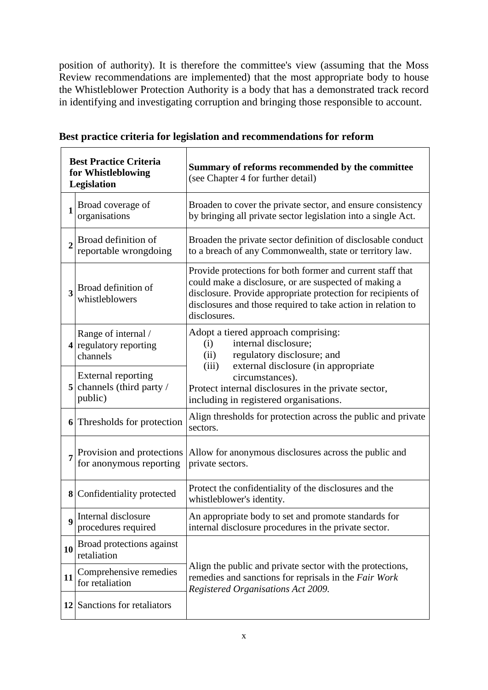position of authority). It is therefore the committee's view (assuming that the Moss Review recommendations are implemented) that the most appropriate body to house the Whistleblower Protection Authority is a body that has a demonstrated track record in identifying and investigating corruption and bringing those responsible to account.

 $\overline{\phantom{0}}$ 

| <b>Best Practice Criteria</b><br>for Whistleblowing<br><b>Legislation</b> |                                                                 | Summary of reforms recommended by the committee<br>(see Chapter 4 for further detail)                                                                                                                                                                               |  |
|---------------------------------------------------------------------------|-----------------------------------------------------------------|---------------------------------------------------------------------------------------------------------------------------------------------------------------------------------------------------------------------------------------------------------------------|--|
| $\mathbf{1}$                                                              | Broad coverage of<br>organisations                              | Broaden to cover the private sector, and ensure consistency<br>by bringing all private sector legislation into a single Act.                                                                                                                                        |  |
| $\overline{2}$                                                            | Broad definition of<br>reportable wrongdoing                    | Broaden the private sector definition of disclosable conduct<br>to a breach of any Commonwealth, state or territory law.                                                                                                                                            |  |
| $\overline{\mathbf{3}}$                                                   | Broad definition of<br>whistleblowers                           | Provide protections for both former and current staff that<br>could make a disclosure, or are suspected of making a<br>disclosure. Provide appropriate protection for recipients of<br>disclosures and those required to take action in relation to<br>disclosures. |  |
|                                                                           | Range of internal /<br>4 regulatory reporting<br>channels       | Adopt a tiered approach comprising:<br>internal disclosure;<br>(i)<br>regulatory disclosure; and<br>(ii)<br>external disclosure (in appropriate<br>(iii)                                                                                                            |  |
| 5 <sup>1</sup>                                                            | <b>External reporting</b><br>channels (third party /<br>public) | circumstances).<br>Protect internal disclosures in the private sector,<br>including in registered organisations.                                                                                                                                                    |  |
|                                                                           | 6 Thresholds for protection                                     | Align thresholds for protection across the public and private<br>sectors.                                                                                                                                                                                           |  |
| 7                                                                         | Provision and protections<br>for anonymous reporting            | Allow for anonymous disclosures across the public and<br>private sectors.                                                                                                                                                                                           |  |
| 8                                                                         | Confidentiality protected                                       | Protect the confidentiality of the disclosures and the<br>whistleblower's identity.                                                                                                                                                                                 |  |
| 9                                                                         | Internal disclosure<br>procedures required                      | An appropriate body to set and promote standards for<br>internal disclosure procedures in the private sector.                                                                                                                                                       |  |
| 10                                                                        | Broad protections against<br>retaliation                        |                                                                                                                                                                                                                                                                     |  |
| 11                                                                        | Comprehensive remedies<br>for retaliation                       | Align the public and private sector with the protections,<br>remedies and sanctions for reprisals in the Fair Work<br>Registered Organisations Act 2009.                                                                                                            |  |
|                                                                           | 12 Sanctions for retaliators                                    |                                                                                                                                                                                                                                                                     |  |

| Best practice criteria for legislation and recommendations for reform |  |
|-----------------------------------------------------------------------|--|
|-----------------------------------------------------------------------|--|

 $\blacksquare$